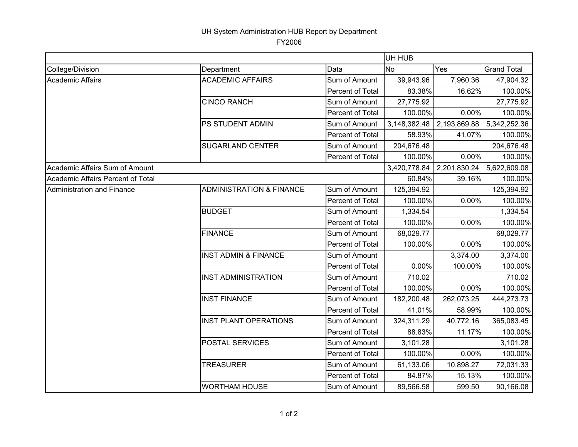## UH System Administration HUB Report by Department

FY2006

|                                   |                                     |                  | UH HUB       |              |                    |  |
|-----------------------------------|-------------------------------------|------------------|--------------|--------------|--------------------|--|
| College/Division                  | Department                          | Data             | <b>No</b>    | Yes          | <b>Grand Total</b> |  |
| <b>Academic Affairs</b>           | <b>ACADEMIC AFFAIRS</b>             | Sum of Amount    | 39,943.96    | 7,960.36     | 47,904.32          |  |
|                                   |                                     | Percent of Total | 83.38%       | 16.62%       | 100.00%            |  |
|                                   | <b>CINCO RANCH</b>                  | Sum of Amount    | 27,775.92    |              | 27,775.92          |  |
|                                   |                                     | Percent of Total | 100.00%      | 0.00%        | 100.00%            |  |
|                                   | PS STUDENT ADMIN                    | Sum of Amount    | 3,148,382.48 | 2,193,869.88 | 5,342,252.36       |  |
|                                   |                                     | Percent of Total | 58.93%       | 41.07%       | 100.00%            |  |
|                                   | <b>SUGARLAND CENTER</b>             | Sum of Amount    | 204,676.48   |              | 204,676.48         |  |
|                                   |                                     | Percent of Total | 100.00%      | 0.00%        | 100.00%            |  |
| Academic Affairs Sum of Amount    |                                     |                  | 3,420,778.84 | 2,201,830.24 | 5,622,609.08       |  |
| Academic Affairs Percent of Total |                                     |                  | 60.84%       | 39.16%       | 100.00%            |  |
| <b>Administration and Finance</b> | <b>ADMINISTRATION &amp; FINANCE</b> | Sum of Amount    | 125,394.92   |              | 125,394.92         |  |
|                                   |                                     | Percent of Total | 100.00%      | 0.00%        | 100.00%            |  |
|                                   | <b>BUDGET</b>                       | Sum of Amount    | 1,334.54     |              | 1,334.54           |  |
|                                   |                                     | Percent of Total | 100.00%      | 0.00%        | 100.00%            |  |
|                                   | <b>FINANCE</b>                      | Sum of Amount    | 68,029.77    |              | 68,029.77          |  |
|                                   |                                     | Percent of Total | 100.00%      | 0.00%        | 100.00%            |  |
|                                   | <b>INST ADMIN &amp; FINANCE</b>     | Sum of Amount    |              | 3,374.00     | 3,374.00           |  |
|                                   |                                     | Percent of Total | 0.00%        | 100.00%      | 100.00%            |  |
|                                   | <b>INST ADMINISTRATION</b>          | Sum of Amount    | 710.02       |              | 710.02             |  |
|                                   |                                     | Percent of Total | 100.00%      | 0.00%        | 100.00%            |  |
|                                   | <b>INST FINANCE</b>                 | Sum of Amount    | 182,200.48   | 262,073.25   | 444,273.73         |  |
|                                   |                                     | Percent of Total | 41.01%       | 58.99%       | 100.00%            |  |
|                                   | <b>INST PLANT OPERATIONS</b>        | Sum of Amount    | 324,311.29   | 40,772.16    | 365,083.45         |  |
|                                   |                                     | Percent of Total | 88.83%       | 11.17%       | 100.00%            |  |
|                                   | POSTAL SERVICES                     | Sum of Amount    | 3,101.28     |              | 3,101.28           |  |
|                                   |                                     | Percent of Total | 100.00%      | 0.00%        | 100.00%            |  |
|                                   | <b>TREASURER</b>                    | Sum of Amount    | 61,133.06    | 10,898.27    | 72,031.33          |  |
|                                   |                                     | Percent of Total | 84.87%       | 15.13%       | 100.00%            |  |
|                                   | <b>WORTHAM HOUSE</b>                | Sum of Amount    | 89,566.58    | 599.50       | 90,166.08          |  |